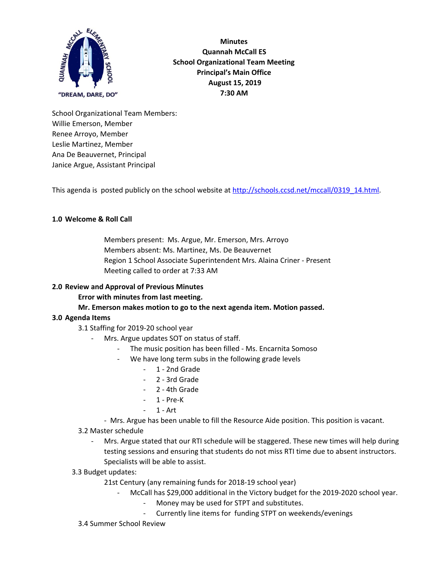

**Minutes Quannah McCall ES School Organizational Team Meeting Principal's Main Office August 15, 2019 7:30 AM**

School Organizational Team Members: Willie Emerson, Member Renee Arroyo, Member Leslie Martinez, Member Ana De Beauvernet, Principal Janice Argue, Assistant Principal

This agenda is posted publicly on the school website at [http://schools.ccsd.net/mccall/0319\\_14.html](http://schools.ccsd.net/mccall/0319_14.html).

# **1.0 Welcome & Roll Call**

Members present: Ms. Argue, Mr. Emerson, Mrs. Arroyo Members absent: Ms. Martinez, Ms. De Beauvernet Region 1 School Associate Superintendent Mrs. Alaina Criner - Present Meeting called to order at 7:33 AM

### **2.0 Review and Approval of Previous Minutes**

**Error with minutes from last meeting.**

### **Mr. Emerson makes motion to go to the next agenda item. Motion passed.**

### **3.0 Agenda Items**

3.1 Staffing for 2019-20 school year

### Mrs. Argue updates SOT on status of staff.

- The music position has been filled Ms. Encarnita Somoso
- We have long term subs in the following grade levels
	- 1 2nd Grade
	- 2 3rd Grade
	- 2 4th Grade
	- 1 Pre-K
	- 1 Art
- Mrs. Argue has been unable to fill the Resource Aide position. This position is vacant.
- 3.2 Master schedule
	- Mrs. Argue stated that our RTI schedule will be staggered. These new times will help during testing sessions and ensuring that students do not miss RTI time due to absent instructors. Specialists will be able to assist.
- 3.3 Budget updates:

21st Century (any remaining funds for 2018-19 school year)

- McCall has \$29,000 additional in the Victory budget for the 2019-2020 school year.
	- Money may be used for STPT and substitutes.
	- Currently line items for funding STPT on weekends/evenings
- 3.4 Summer School Review